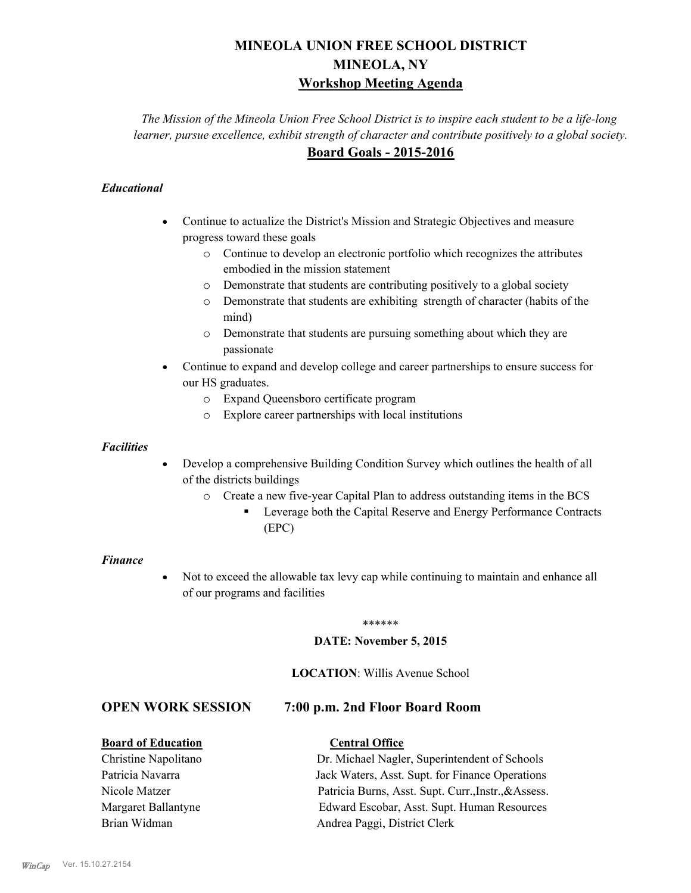# **MINEOLA UNION FREE SCHOOL DISTRICT MINEOLA, NY Workshop Meeting Agenda**

*The Mission of the Mineola Union Free School District is to inspire each student to be a life-long learner, pursue excellence, exhibit strength of character and contribute positively to a global society.* **Board Goals - 2015-2016**

## *Educational*

- · Continue to actualize the District's Mission and Strategic Objectives and measure progress toward these goals
	- o Continue to develop an electronic portfolio which recognizes the attributes embodied in the mission statement
	- o Demonstrate that students are contributing positively to a global society
	- o Demonstrate that students are exhibiting strength of character (habits of the mind)
	- o Demonstrate that students are pursuing something about which they are passionate
- Continue to expand and develop college and career partnerships to ensure success for our HS graduates.
	- o Expand Queensboro certificate program
	- o Explore career partnerships with local institutions

### *Facilities*

- Develop a comprehensive Building Condition Survey which outlines the health of all of the districts buildings
	- o Create a new five-year Capital Plan to address outstanding items in the BCS
		- § Leverage both the Capital Reserve and Energy Performance Contracts (EPC)

### *Finance*

• Not to exceed the allowable tax levy cap while continuing to maintain and enhance all of our programs and facilities

### \*\*\*\*\*\*

### **DATE: November 5, 2015**

### **LOCATION**: Willis Avenue School

# **OPEN WORK SESSION 7:00 p.m. 2nd Floor Board Room**

### **Board of Education Central Office**

Christine Napolitano Dr. Michael Nagler, Superintendent of Schools Patricia Navarra Jack Waters, Asst. Supt. for Finance Operations Nicole Matzer Patricia Burns, Asst. Supt. Curr.,Instr.,&Assess. Margaret Ballantyne Edward Escobar, Asst. Supt. Human Resources Brian Widman **Andrea Paggi, District Clerk**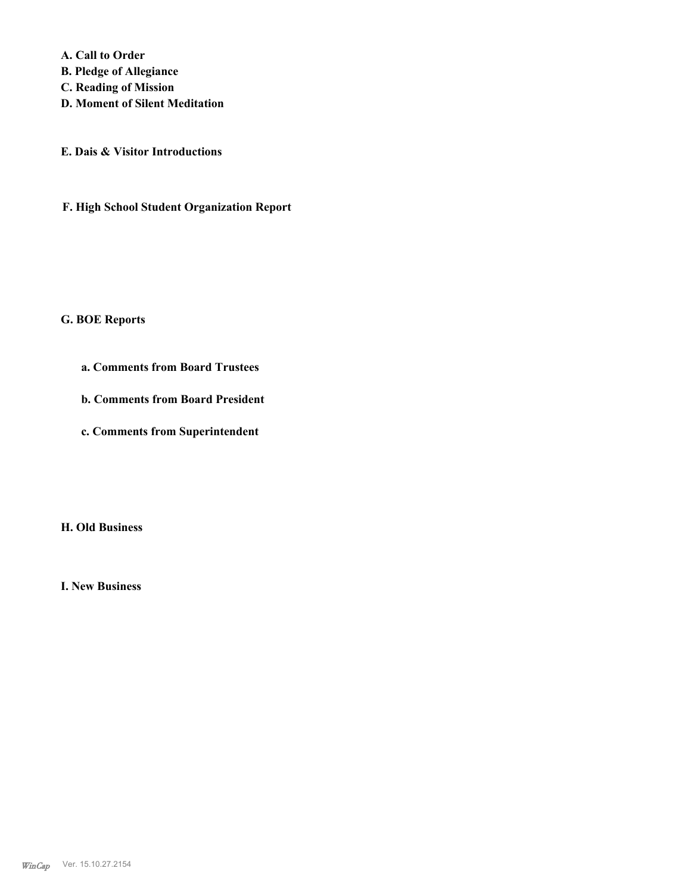**A. Call to Order B. Pledge of Allegiance C. Reading of Mission D. Moment of Silent Meditation**

**E. Dais & Visitor Introductions**

**F. High School Student Organization Report**

### **G. BOE Reports**

- **a. Comments from Board Trustees**
- **b. Comments from Board President**
- **c. Comments from Superintendent**

**H. Old Business**

**I. New Business**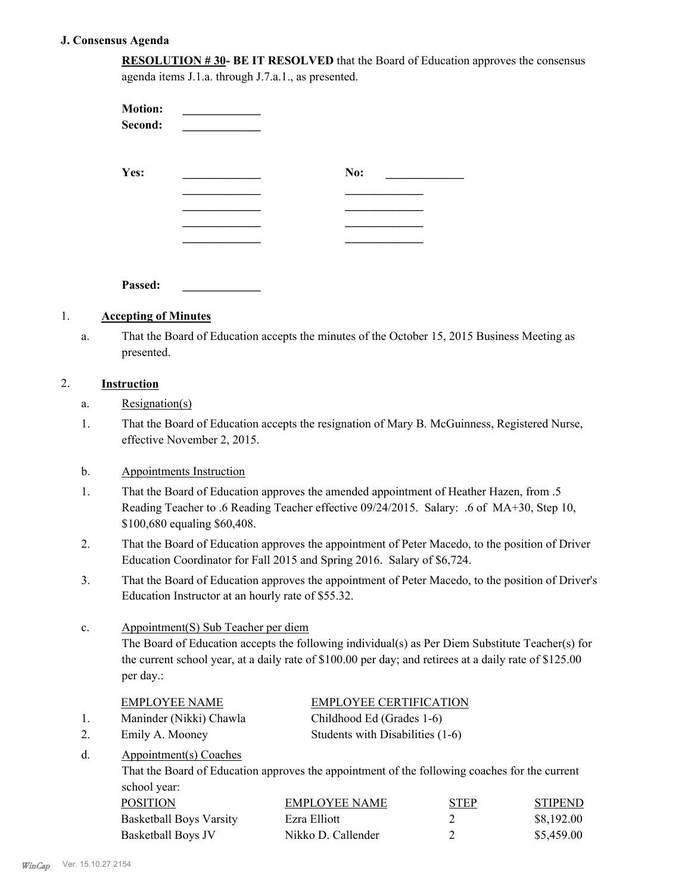### **J. Consensus Agenda**

| <b>RESOLUTION #30- BE IT RESOLVED</b> that the Board of Education approves the consensus |
|------------------------------------------------------------------------------------------|
| agenda items J.1.a. through J.7.a.1., as presented.                                      |

| <b>Motion:</b><br>Second: |     |  |
|---------------------------|-----|--|
| Yes:                      | No: |  |
|                           |     |  |
|                           |     |  |
|                           |     |  |
| Passed:                   |     |  |

## 1. **Accepting of Minutes**

That the Board of Education accepts the minutes of the October 15, 2015 Business Meeting as presented. a.

### 2. **Instruction**

- a. Resignation(s)
- That the Board of Education accepts the resignation of Mary B. McGuinness, Registered Nurse, effective November 2, 2015. 1.

### b. Appointments Instruction

- That the Board of Education approves the amended appointment of Heather Hazen, from .5 Reading Teacher to .6 Reading Teacher effective 09/24/2015. Salary: .6 of MA+30, Step 10, \$100,680 equaling \$60,408. 1.
- That the Board of Education approves the appointment of Peter Macedo, to the position of Driver Education Coordinator for Fall 2015 and Spring 2016. Salary of \$6,724. 2.
- That the Board of Education approves the appointment of Peter Macedo, to the position of Driver's Education Instructor at an hourly rate of \$55.32. 3.

### Appointment(S) Sub Teacher per diem c.

The Board of Education accepts the following individual(s) as Per Diem Substitute Teacher(s) for the current school year, at a daily rate of \$100.00 per day; and retirees at a daily rate of \$125.00 per day.:

|    | <b>EMPLOYEE NAME</b>    | <b>EMPLOYEE CERTIFICATION</b>    |
|----|-------------------------|----------------------------------|
|    | Maninder (Nikki) Chawla | Childhood Ed (Grades 1-6)        |
|    | Emily A. Mooney         | Students with Disabilities (1-6) |
| d. | Appointment(s) Coaches  |                                  |

That the Board of Education approves the appointment of the following coaches for the current school year:

| <b>POSITION</b>                | EMPLOYEE NAME      | <b>STEP</b> | <b>STIPEND</b> |
|--------------------------------|--------------------|-------------|----------------|
| <b>Basketball Boys Varsity</b> | Ezra Elliott       |             | \$8,192.00     |
| Basketball Boys JV             | Nikko D. Callender |             | \$5,459.00     |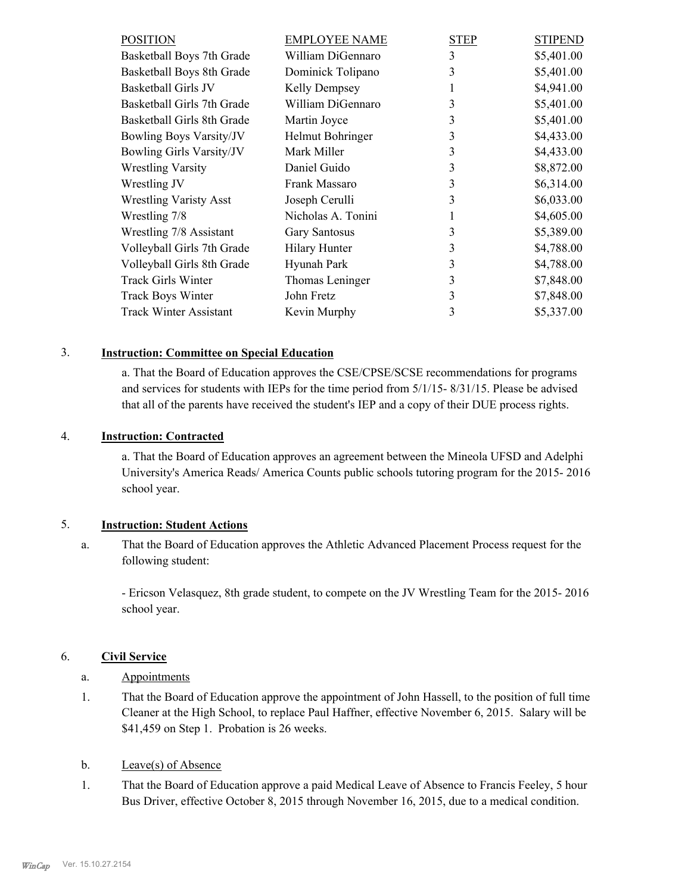| <b>POSITION</b>                 | <b>EMPLOYEE NAME</b> | STEP | <b>STIPEND</b> |
|---------------------------------|----------------------|------|----------------|
| Basketball Boys 7th Grade       | William DiGennaro    | 3    | \$5,401.00     |
| Basketball Boys 8th Grade       | Dominick Tolipano    | 3    | \$5,401.00     |
| Basketball Girls JV             | Kelly Dempsey        |      | \$4,941.00     |
| Basketball Girls 7th Grade      | William DiGennaro    | 3    | \$5,401.00     |
| Basketball Girls 8th Grade      | Martin Joyce         | 3    | \$5,401.00     |
| <b>Bowling Boys Varsity/JV</b>  | Helmut Bohringer     | 3    | \$4,433.00     |
| <b>Bowling Girls Varsity/JV</b> | Mark Miller          | 3    | \$4,433.00     |
| <b>Wrestling Varsity</b>        | Daniel Guido         | 3    | \$8,872.00     |
| Wrestling JV                    | Frank Massaro        | 3    | \$6,314.00     |
| <b>Wrestling Varisty Asst</b>   | Joseph Cerulli       | 3    | \$6,033.00     |
| Wrestling 7/8                   | Nicholas A. Tonini   |      | \$4,605.00     |
| Wrestling 7/8 Assistant         | <b>Gary Santosus</b> | 3    | \$5,389.00     |
| Volleyball Girls 7th Grade      | Hilary Hunter        | 3    | \$4,788.00     |
| Volleyball Girls 8th Grade      | Hyunah Park          | 3    | \$4,788.00     |
| <b>Track Girls Winter</b>       | Thomas Leninger      | 3    | \$7,848.00     |
| <b>Track Boys Winter</b>        | John Fretz           | 3    | \$7,848.00     |
| <b>Track Winter Assistant</b>   | Kevin Murphy         | 3    | \$5,337.00     |
|                                 |                      |      |                |

### 3. **Instruction: Committee on Special Education**

a. That the Board of Education approves the CSE/CPSE/SCSE recommendations for programs and services for students with IEPs for the time period from 5/1/15- 8/31/15. Please be advised that all of the parents have received the student's IEP and a copy of their DUE process rights.

## 4. **Instruction: Contracted**

a. That the Board of Education approves an agreement between the Mineola UFSD and Adelphi University's America Reads/ America Counts public schools tutoring program for the 2015- 2016 school year.

### 5. **Instruction: Student Actions**

That the Board of Education approves the Athletic Advanced Placement Process request for the following student: a.

- Ericson Velasquez, 8th grade student, to compete on the JV Wrestling Team for the 2015- 2016 school year.

### 6. **Civil Service**

- a. Appointments
- That the Board of Education approve the appointment of John Hassell, to the position of full time Cleaner at the High School, to replace Paul Haffner, effective November 6, 2015. Salary will be \$41,459 on Step 1. Probation is 26 weeks. 1.

### b. Leave(s) of Absence

That the Board of Education approve a paid Medical Leave of Absence to Francis Feeley, 5 hour Bus Driver, effective October 8, 2015 through November 16, 2015, due to a medical condition. 1.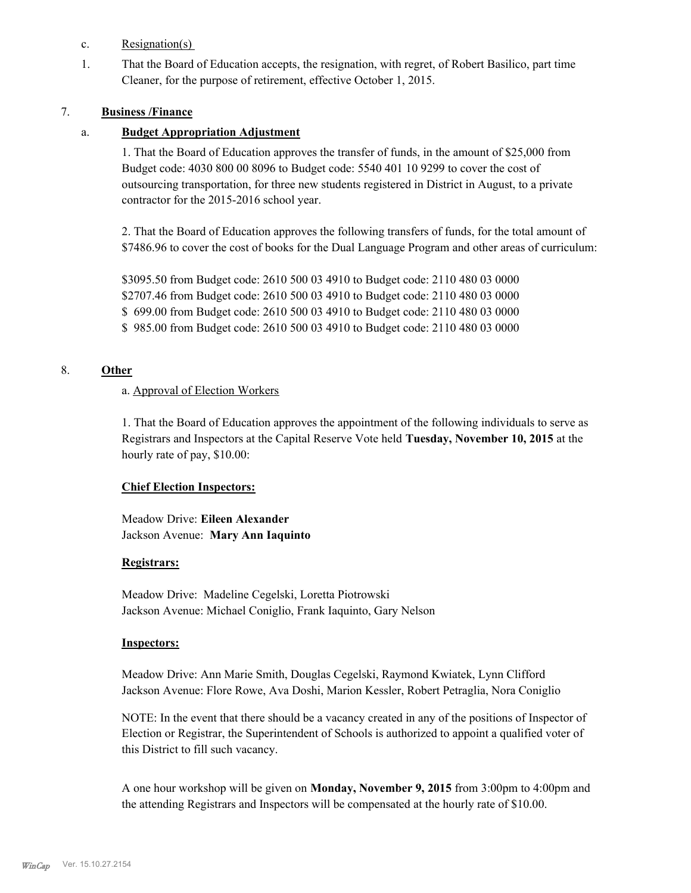- c. Resignation(s)
- That the Board of Education accepts, the resignation, with regret, of Robert Basilico, part time Cleaner, for the purpose of retirement, effective October 1, 2015. 1.

### 7. **Business /Finance**

### a. **Budget Appropriation Adjustment**

1. That the Board of Education approves the transfer of funds, in the amount of \$25,000 from Budget code: 4030 800 00 8096 to Budget code: 5540 401 10 9299 to cover the cost of outsourcing transportation, for three new students registered in District in August, to a private contractor for the 2015-2016 school year.

2. That the Board of Education approves the following transfers of funds, for the total amount of \$7486.96 to cover the cost of books for the Dual Language Program and other areas of curriculum:

\$3095.50 from Budget code: 2610 500 03 4910 to Budget code: 2110 480 03 0000 \$2707.46 from Budget code: 2610 500 03 4910 to Budget code: 2110 480 03 0000 \$ 699.00 from Budget code: 2610 500 03 4910 to Budget code: 2110 480 03 0000 \$ 985.00 from Budget code: 2610 500 03 4910 to Budget code: 2110 480 03 0000

### 8. **Other**

### a. Approval of Election Workers

1. That the Board of Education approves the appointment of the following individuals to serve as Registrars and Inspectors at the Capital Reserve Vote held **Tuesday, November 10, 2015** at the hourly rate of pay, \$10.00:

### **Chief Election Inspectors:**

Meadow Drive: **Eileen Alexander**  Jackson Avenue: **Mary Ann Iaquinto**

### **Registrars:**

Meadow Drive: Madeline Cegelski, Loretta Piotrowski Jackson Avenue: Michael Coniglio, Frank Iaquinto, Gary Nelson

### **Inspectors:**

Meadow Drive: Ann Marie Smith, Douglas Cegelski, Raymond Kwiatek, Lynn Clifford Jackson Avenue: Flore Rowe, Ava Doshi, Marion Kessler, Robert Petraglia, Nora Coniglio

NOTE: In the event that there should be a vacancy created in any of the positions of Inspector of Election or Registrar, the Superintendent of Schools is authorized to appoint a qualified voter of this District to fill such vacancy.

A one hour workshop will be given on **Monday, November 9, 2015** from 3:00pm to 4:00pm and the attending Registrars and Inspectors will be compensated at the hourly rate of \$10.00.